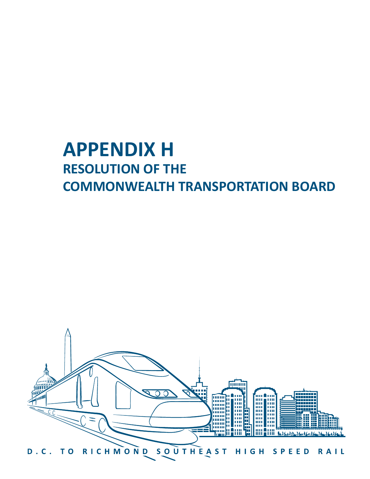# **APPENDIX H RESOLUTION OF THE COMMONWEALTH TRANSPORTATION BOARD**

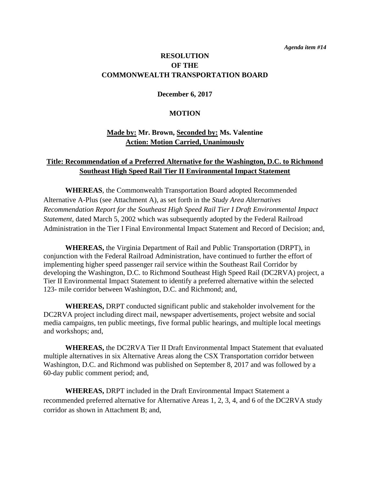## **RESOLUTION OF THE COMMONWEALTH TRANSPORTATION BOARD**

### **December 6, 2017**

#### **MOTION**

## **Made by: Mr. Brown, Seconded by: Ms. Valentine Action: Motion Carried, Unanimously**

## **Title: Recommendation of a Preferred Alternative for the Washington, D.C. to Richmond Southeast High Speed Rail Tier II Environmental Impact Statement**

**WHEREAS**, the Commonwealth Transportation Board adopted Recommended Alternative A-Plus (see Attachment A), as set forth in the *Study Area Alternatives Recommendation Report for the Southeast High Speed Rail Tier I Draft Environmental Impact Statement,* dated March 5, 2002 which was subsequently adopted by the Federal Railroad Administration in the Tier I Final Environmental Impact Statement and Record of Decision; and,

**WHEREAS,** the Virginia Department of Rail and Public Transportation (DRPT), in conjunction with the Federal Railroad Administration, have continued to further the effort of implementing higher speed passenger rail service within the Southeast Rail Corridor by developing the Washington, D.C. to Richmond Southeast High Speed Rail (DC2RVA) project, a Tier II Environmental Impact Statement to identify a preferred alternative within the selected 123- mile corridor between Washington, D.C. and Richmond; and,

**WHEREAS,** DRPT conducted significant public and stakeholder involvement for the DC2RVA project including direct mail, newspaper advertisements, project website and social media campaigns, ten public meetings, five formal public hearings, and multiple local meetings and workshops; and,

**WHEREAS,** the DC2RVA Tier II Draft Environmental Impact Statement that evaluated multiple alternatives in six Alternative Areas along the CSX Transportation corridor between Washington, D.C. and Richmond was published on September 8, 2017 and was followed by a 60-day public comment period; and,

**WHEREAS,** DRPT included in the Draft Environmental Impact Statement a recommended preferred alternative for Alternative Areas 1, 2, 3, 4, and 6 of the DC2RVA study corridor as shown in Attachment B; and,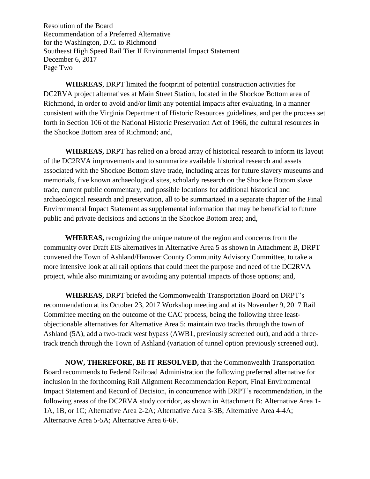Resolution of the Board Recommendation of a Preferred Alternative for the Washington, D.C. to Richmond Southeast High Speed Rail Tier II Environmental Impact Statement December 6, 2017 Page Two

**WHEREAS**, DRPT limited the footprint of potential construction activities for DC2RVA project alternatives at Main Street Station, located in the Shockoe Bottom area of Richmond, in order to avoid and/or limit any potential impacts after evaluating, in a manner consistent with the Virginia Department of Historic Resources guidelines, and per the process set forth in Section 106 of the National Historic Preservation Act of 1966, the cultural resources in the Shockoe Bottom area of Richmond; and,

**WHEREAS,** DRPT has relied on a broad array of historical research to inform its layout of the DC2RVA improvements and to summarize available historical research and assets associated with the Shockoe Bottom slave trade, including areas for future slavery museums and memorials, five known archaeological sites, scholarly research on the Shockoe Bottom slave trade, current public commentary, and possible locations for additional historical and archaeological research and preservation, all to be summarized in a separate chapter of the Final Environmental Impact Statement as supplemental information that may be beneficial to future public and private decisions and actions in the Shockoe Bottom area; and,

**WHEREAS,** recognizing the unique nature of the region and concerns from the community over Draft EIS alternatives in Alternative Area 5 as shown in Attachment B, DRPT convened the Town of Ashland/Hanover County Community Advisory Committee, to take a more intensive look at all rail options that could meet the purpose and need of the DC2RVA project, while also minimizing or avoiding any potential impacts of those options; and,

**WHEREAS,** DRPT briefed the Commonwealth Transportation Board on DRPT's recommendation at its October 23, 2017 Workshop meeting and at its November 9, 2017 Rail Committee meeting on the outcome of the CAC process, being the following three leastobjectionable alternatives for Alternative Area 5: maintain two tracks through the town of Ashland (5A), add a two-track west bypass (AWB1, previously screened out), and add a threetrack trench through the Town of Ashland (variation of tunnel option previously screened out).

**NOW, THEREFORE, BE IT RESOLVED,** that the Commonwealth Transportation Board recommends to Federal Railroad Administration the following preferred alternative for inclusion in the forthcoming Rail Alignment Recommendation Report, Final Environmental Impact Statement and Record of Decision, in concurrence with DRPT's recommendation, in the following areas of the DC2RVA study corridor, as shown in Attachment B: Alternative Area 1- 1A, 1B, or 1C; Alternative Area 2-2A; Alternative Area 3-3B; Alternative Area 4-4A; Alternative Area 5-5A; Alternative Area 6-6F.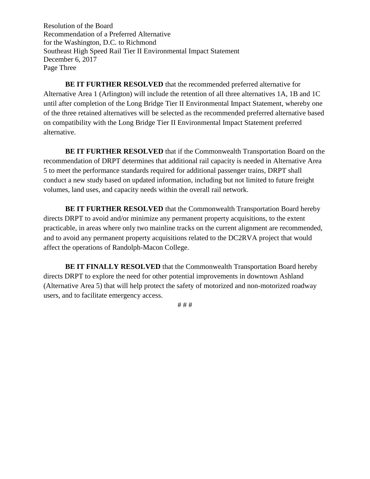Resolution of the Board Recommendation of a Preferred Alternative for the Washington, D.C. to Richmond Southeast High Speed Rail Tier II Environmental Impact Statement December 6, 2017 Page Three

**BE IT FURTHER RESOLVED** that the recommended preferred alternative for Alternative Area 1 (Arlington) will include the retention of all three alternatives 1A, 1B and 1C until after completion of the Long Bridge Tier II Environmental Impact Statement, whereby one of the three retained alternatives will be selected as the recommended preferred alternative based on compatibility with the Long Bridge Tier II Environmental Impact Statement preferred alternative.

**BE IT FURTHER RESOLVED** that if the Commonwealth Transportation Board on the recommendation of DRPT determines that additional rail capacity is needed in Alternative Area 5 to meet the performance standards required for additional passenger trains, DRPT shall conduct a new study based on updated information, including but not limited to future freight volumes, land uses, and capacity needs within the overall rail network.

**BE IT FURTHER RESOLVED** that the Commonwealth Transportation Board hereby directs DRPT to avoid and/or minimize any permanent property acquisitions, to the extent practicable, in areas where only two mainline tracks on the current alignment are recommended, and to avoid any permanent property acquisitions related to the DC2RVA project that would affect the operations of Randolph-Macon College.

**BE IT FINALLY RESOLVED** that the Commonwealth Transportation Board hereby directs DRPT to explore the need for other potential improvements in downtown Ashland (Alternative Area 5) that will help protect the safety of motorized and non-motorized roadway users, and to facilitate emergency access.

# # #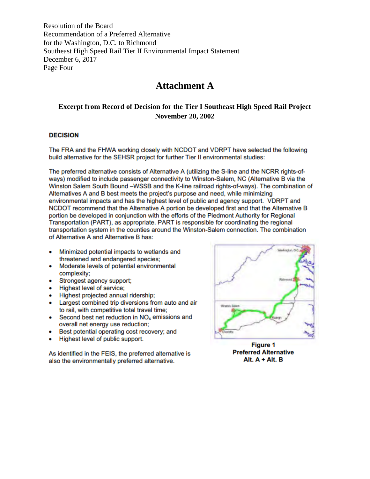Resolution of the Board Recommendation of a Preferred Alternative for the Washington, D.C. to Richmond Southeast High Speed Rail Tier II Environmental Impact Statement December 6, 2017 Page Four

# **Attachment A**

## **Excerpt from Record of Decision for the Tier I Southeast High Speed Rail Project November 20, 2002**

#### **DECISION**

The FRA and the FHWA working closely with NCDOT and VDRPT have selected the following build alternative for the SEHSR project for further Tier II environmental studies:

The preferred alternative consists of Alternative A (utilizing the S-line and the NCRR rights-ofways) modified to include passenger connectivity to Winston-Salem, NC (Alternative B via the Winston Salem South Bound -WSSB and the K-line railroad rights-of-ways). The combination of Alternatives A and B best meets the project's purpose and need, while minimizing environmental impacts and has the highest level of public and agency support. VDRPT and NCDOT recommend that the Alternative A portion be developed first and that the Alternative B portion be developed in conjunction with the efforts of the Piedmont Authority for Regional Transportation (PART), as appropriate. PART is responsible for coordinating the regional transportation system in the counties around the Winston-Salem connection. The combination of Alternative A and Alternative B has:

- Minimized potential impacts to wetlands and threatened and endangered species;
- Moderate levels of potential environmental complexity;
- Strongest agency support:
- Highest level of service;
- Highest projected annual ridership;
- Largest combined trip diversions from auto and air  $\bullet$ to rail, with competitive total travel time;
- Second best net reduction in NO<sub>x</sub> emissions and overall net energy use reduction:
- Best potential operating cost recovery; and
- Highest level of public support.

As identified in the FEIS, the preferred alternative is also the environmentally preferred alternative.



**Figure 1 Preferred Alternative** Alt.  $A + Alt. B$